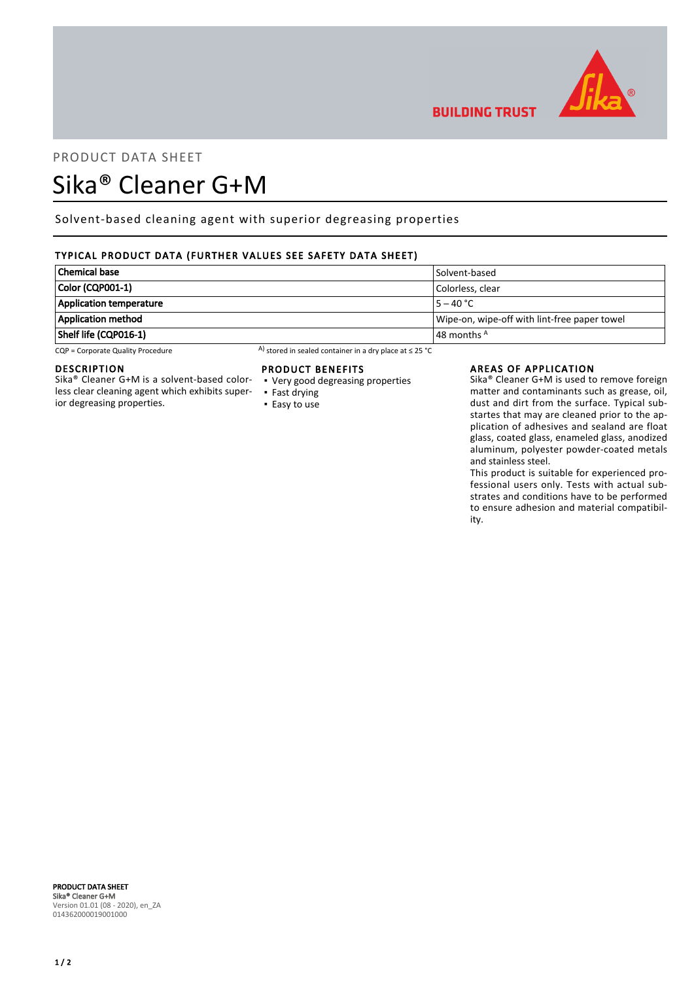

**BUILDING TRUST** 

# PRODUCT DATA SHEET Sika® Cleaner G+M

# Solvent-based cleaning agent with superior degreasing properties

# TYPICAL PRODUCT DATA (FURTHER VALUES SEE SAFETY DATA SHEET)

| <b>Chemical base</b>           | Solvent-based                                |
|--------------------------------|----------------------------------------------|
| Color (CQP001-1)               | Colorless, clear                             |
| <b>Application temperature</b> | $5 - 40 °C$                                  |
| <b>Application method</b>      | Wipe-on, wipe-off with lint-free paper towel |
| Shelf life (CQP016-1)          | $\vert$ 48 months $^{\mathsf{A}}$            |

CQP = Corporate Quality Procedure A) stored in sealed container in a dry place at ≤ 25 °C

## DESCRIPTION

Sika® Cleaner G+M is a solvent-based colorless clear cleaning agent which exhibits superior degreasing properties.

# PRODUCT BENEFITS

- Very good degreasing properties ▪ Fast drying
- Easy to use

## AREAS OF APPLICATION

Sika® Cleaner G+M is used to remove foreign matter and contaminants such as grease, oil, dust and dirt from the surface. Typical substartes that may are cleaned prior to the application of adhesives and sealand are float glass, coated glass, enameled glass, anodized aluminum, polyester powder-coated metals and stainless steel.

This product is suitable for experienced professional users only. Tests with actual substrates and conditions have to be performed to ensure adhesion and material compatibility.

PRODUCT DATA SHEET Sika® Cleaner G+M Version 01.01 (08 - 2020), en\_ZA 014362000019001000